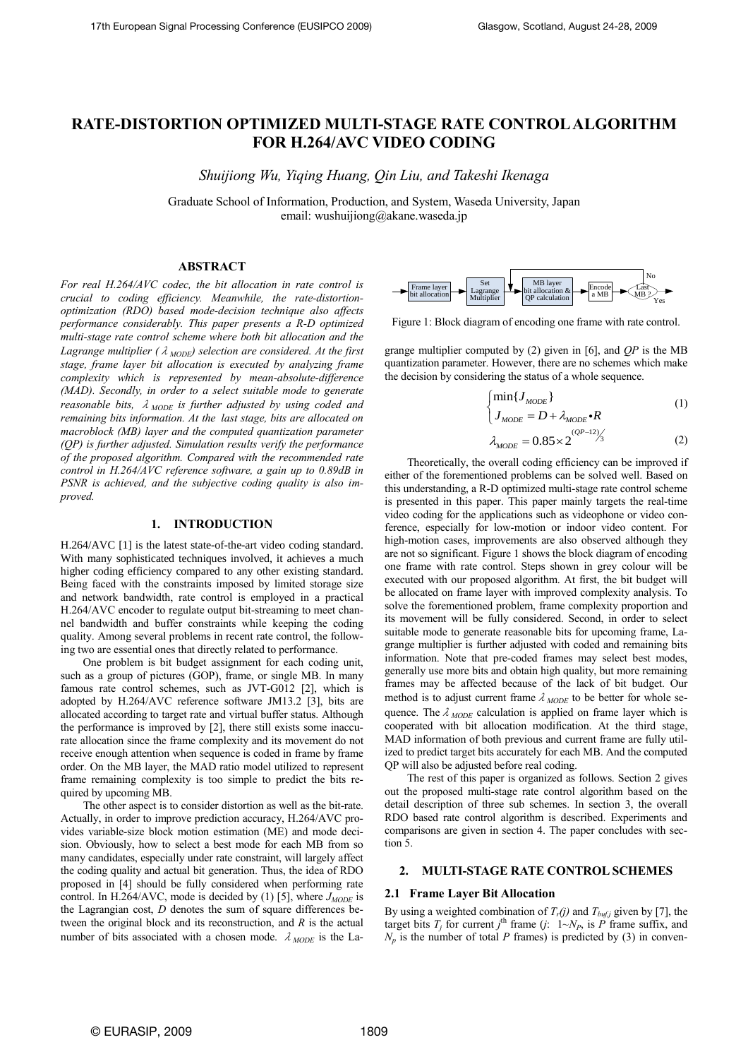# **RATE-DISTORTION OPTIMIZED MULTI-STAGE RATE CONTROLALGORITHM FOR H.264/AVC VIDEO CODING**

*Shuijiong Wu, Yiqing Huang, Qin Liu, and Takeshi Ikenaga*

Graduate School of Information, Production, and System, Waseda University, Japan email: wushuijiong@akane.waseda.jp

## **ABSTRACT**

*For real H.264/AVC codec, the bit allocation in rate control is crucial to coding efficiency. Meanwhile, the rate-distortionoptimization (RDO) based mode-decision technique also affects performance considerably. This paper presents a R-D optimized multi-stage rate control scheme where both bit allocation and the Lagrange multiplier (λ<sub>MODE</sub>) selection are considered. At the first stage, frame layer bit allocation is executed by analyzing frame complexity which is represented by mean-absolute-difference (MAD). Secondly, in order to a select suitable mode to generate reasonable bits,*  $λ$ <sub>*MODE</sub> is further adjusted by using coded and*</sub> *remaining bits information. At the last stage, bits are allocated on macroblock (MB) layer and the computed quantization parameter (QP) is further adjusted. Simulation results verify the performance of the proposed algorithm. Compared with the recommended rate control in H.264/AVC reference software, a gain up to 0.89dB in PSNR is achieved, and the subjective coding quality is also improved.* 

# **1. INTRODUCTION**

H.264/AVC [1] is the latest state-of-the-art video coding standard. With many sophisticated techniques involved, it achieves a much higher coding efficiency compared to any other existing standard. Being faced with the constraints imposed by limited storage size and network bandwidth, rate control is employed in a practical H.264/AVC encoder to regulate output bit-streaming to meet channel bandwidth and buffer constraints while keeping the coding quality. Among several problems in recent rate control, the following two are essential ones that directly related to performance.

One problem is bit budget assignment for each coding unit, such as a group of pictures (GOP), frame, or single MB. In many famous rate control schemes, such as JVT-G012 [2], which is adopted by H.264/AVC reference software JM13.2 [3], bits are allocated according to target rate and virtual buffer status. Although the performance is improved by [2], there still exists some inaccurate allocation since the frame complexity and its movement do not receive enough attention when sequence is coded in frame by frame order. On the MB layer, the MAD ratio model utilized to represent frame remaining complexity is too simple to predict the bits required by upcoming MB.

The other aspect is to consider distortion as well as the bit-rate. Actually, in order to improve prediction accuracy, H.264/AVC provides variable-size block motion estimation (ME) and mode decision. Obviously, how to select a best mode for each MB from so many candidates, especially under rate constraint, will largely affect the coding quality and actual bit generation. Thus, the idea of RDO proposed in [4] should be fully considered when performing rate control. In H.264/AVC, mode is decided by (1) [5], where  $J_{MODE}$  is the Lagrangian cost, *D* denotes the sum of square differences between the original block and its reconstruction, and *R* is the actual number of bits associated with a chosen mode.  $\lambda_{MODE}$  is the La-



Figure 1: Block diagram of encoding one frame with rate control.

grange multiplier computed by (2) given in [6], and *QP* is the MB quantization parameter. However, there are no schemes which make the decision by considering the status of a whole sequence.

$$
\begin{cases} \min\{J_{\text{MODE}}\} \\ J_{\text{MODE}} = D + \lambda_{\text{MODE}} \cdot R \end{cases} \tag{1}
$$

$$
\lambda_{MODE} = 0.85 \times 2^{\frac{(QP - 12)}{3}}
$$
 (2)

Theoretically, the overall coding efficiency can be improved if either of the forementioned problems can be solved well. Based on this understanding, a R-D optimized multi-stage rate control scheme is presented in this paper. This paper mainly targets the real-time video coding for the applications such as videophone or video conference, especially for low-motion or indoor video content. For high-motion cases, improvements are also observed although they are not so significant. Figure 1 shows the block diagram of encoding one frame with rate control. Steps shown in grey colour will be executed with our proposed algorithm. At first, the bit budget will be allocated on frame layer with improved complexity analysis. To solve the forementioned problem, frame complexity proportion and its movement will be fully considered. Second, in order to select suitable mode to generate reasonable bits for upcoming frame, Lagrange multiplier is further adjusted with coded and remaining bits information. Note that pre-coded frames may select best modes, generally use more bits and obtain high quality, but more remaining frames may be affected because of the lack of bit budget. Our method is to adjust current frame  $\lambda_{\text{MODE}}$  to be better for whole sequence. The  $\lambda_{\text{MODE}}$  calculation is applied on frame layer which is cooperated with bit allocation modification. At the third stage, MAD information of both previous and current frame are fully utilized to predict target bits accurately for each MB. And the computed QP will also be adjusted before real coding.

The rest of this paper is organized as follows. Section 2 gives out the proposed multi-stage rate control algorithm based on the detail description of three sub schemes. In section 3, the overall RDO based rate control algorithm is described. Experiments and comparisons are given in section 4. The paper concludes with section 5.

## **2. MULTI-STAGE RATE CONTROL SCHEMES**

## **2.1 Frame Layer Bit Allocation**

By using a weighted combination of  $T_r(j)$  and  $T_{bufj}$  given by [7], the target bits  $T_j$  for current  $j^{\text{th}}$  frame (*j*:  $1 \sim N_P$ , is  $P$  frame suffix, and  $N_p$  is the number of total *P* frames) is predicted by (3) in conven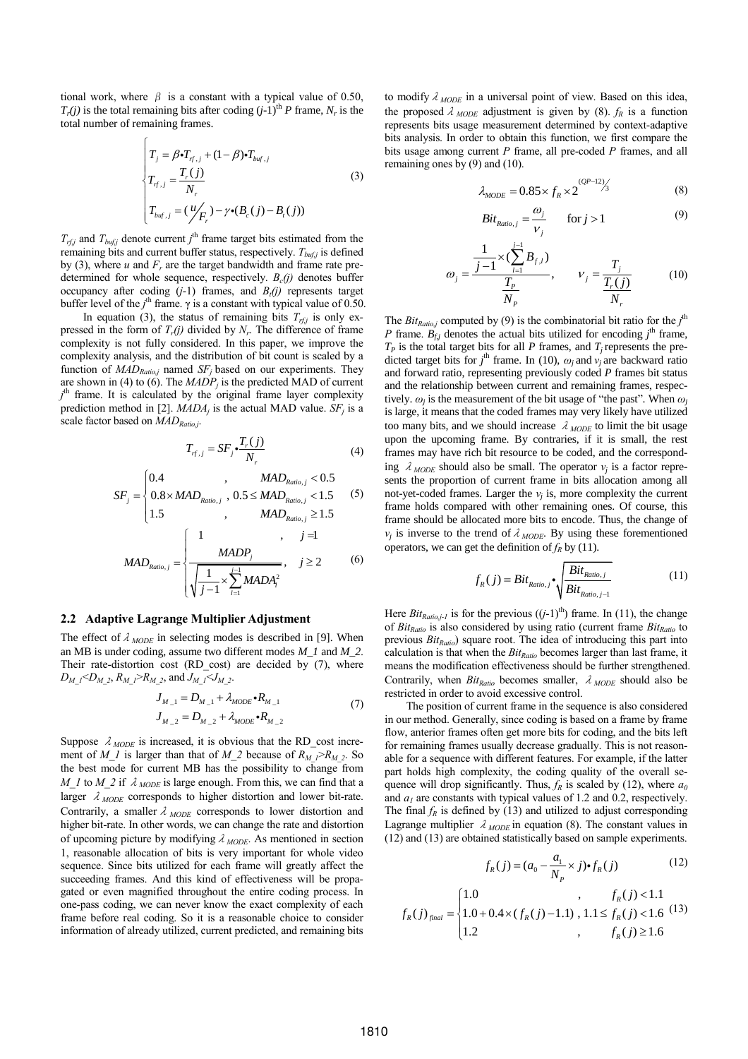tional work, where  $\beta$  is a constant with a typical value of 0.50,  $T_r(j)$  is the total remaining bits after coding  $(j-1)$ <sup>th</sup> *P* frame,  $N_r$  is the total number of remaining frames.

 $\sqrt{ }$ 

$$
\begin{cases}\nT_j = \beta \cdot T_{rf,j} + (1-\beta) \cdot T_{buf,j} \\
T_{rf,j} = \frac{T_r(j)}{N_r} \\
T_{buf,j} = (\frac{\mu}{F_r}) - \gamma \cdot (B_c(j) - B_i(j))\n\end{cases}
$$
\n(3)

 $T_{\textit{rfj}}$  and  $T_{\textit{bufj}}$  denote current *j*<sup>th</sup> frame target bits estimated from the remaining bits and current buffer status, respectively.  $T_{\text{buf},j}$  is defined by (3), where  $u$  and  $F_r$  are the target bandwidth and frame rate predetermined for whole sequence, respectively.  $B_c(j)$  denotes buffer occupancy after coding  $(j-1)$  frames, and  $B_t(j)$  represents target buffer level of the *j*<sup>th</sup> frame. γ is a constant with typical value of 0.50.

In equation (3), the status of remaining bits  $T_{rf,j}$  is only expressed in the form of  $T_r(j)$  divided by  $N_r$ . The difference of frame complexity is not fully considered. In this paper, we improve the complexity analysis, and the distribution of bit count is scaled by a function of  $MAD_{Ratio, j}$  named  $SF_j$  based on our experiments. They are shown in (4) to (6). The *MADP<sup>j</sup>* is the predicted MAD of current *j*<sup>th</sup> frame. It is calculated by the original frame layer complexity prediction method in [2]. *MADA<sup>j</sup>* is the actual MAD value. *SF<sup>j</sup>* is a scale factor based on *MADRatio,j*.

$$
T_{rf,j} = SF_j \cdot \frac{T_r(j)}{N_r} \tag{4}
$$

$$
SF_{j} = \begin{cases} 0.4 & , MAD_{Ratio,j} < 0.5 \\ 0.8 \times MAD_{Ratio,j} , 0.5 \leq MAD_{ratio,j} < 1.5 \\ 0.5 \times 10^{-10} & , MAD_{Ratio,j} < 1.5 \end{cases}
$$
 (5)

$$
[1.5 \t, MAD_{Ratio,j} \ge 1.5]
$$
  

$$
MAD_{Ratio,j} = \begin{cases} 1, & j = 1 \\ \frac{MADP_j}{\sqrt{\frac{1}{j-1} \times \sum_{i=1}^{j-1} MADA_i^2}}, & j \ge 2 \end{cases}
$$
 (6)

#### **2.2 Adaptive Lagrange Multiplier Adjustment**

The effect of  $\lambda_{MODE}$  in selecting modes is described in [9]. When an MB is under coding, assume two different modes *M\_1* and *M\_2*. Their rate-distortion cost (RD\_cost) are decided by (7), where  $D_M$ <sub>1</sub>< $D_M$ <sub>2</sub>,  $R_M$ <sub>1</sub>> $R_M$ <sub>2</sub>, and  $J_M$ <sub>1</sub>< $J_M$ <sub>2</sub>.

$$
J_{M_{-1}} = D_{M_{-1}} + \lambda_{MODE} \cdot R_{M_{-1}}
$$
  
\n
$$
J_{M_{-2}} = D_{M_{-2}} + \lambda_{MODE} \cdot R_{M_{-2}}
$$
\n(7)

Suppose  $\lambda_{MODE}$  is increased, it is obvious that the RD\_cost increment of *M\_1* is larger than that of *M\_2* because of  $R_M$ <sub>1</sub>> $R_M$ <sub>2</sub>. So the best mode for current MB has the possibility to change from *M\_1* to *M\_2* if  $\lambda_{MODE}$  is large enough. From this, we can find that a larger  $\lambda_{\text{MODE}}$  corresponds to higher distortion and lower bit-rate. Contrarily, a smaller  $\lambda_{MODE}$  corresponds to lower distortion and higher bit-rate. In other words, we can change the rate and distortion of upcoming picture by modifying  $\lambda_{\text{MODE}}$ . As mentioned in section 1, reasonable allocation of bits is very important for whole video sequence. Since bits utilized for each frame will greatly affect the succeeding frames. And this kind of effectiveness will be propagated or even magnified throughout the entire coding process. In one-pass coding, we can never know the exact complexity of each frame before real coding. So it is a reasonable choice to consider information of already utilized, current predicted, and remaining bits to modify  $\lambda_{MODE}$  in a universal point of view. Based on this idea, the proposed  $\lambda_{MODE}$  adjustment is given by (8).  $f_R$  is a function represents bits usage measurement determined by context-adaptive bits analysis. In order to obtain this function, we first compare the bits usage among current *P* frame, all pre-coded *P* frames, and all remaining ones by (9) and (10).

$$
\lambda_{\text{MODE}} = 0.85 \times f_R \times 2^{\frac{(QP-12)}{3}} \tag{8}
$$

$$
Bit_{Ratio,j} = \frac{\omega_j}{\nu_j} \qquad \text{for } j > 1 \tag{9}
$$

$$
\omega_{j} = \frac{\frac{1}{j-1} \times (\sum_{l=1}^{j-1} B_{f,l})}{\frac{T_{p}}{N_{p}}}, \qquad \nu_{j} = \frac{T_{j}}{\frac{T_{j}(j)}{N_{r}}}
$$
(10)

The *Bit<sub>Ratioj</sub>* computed by (9) is the combinatorial bit ratio for the  $j^{\text{th}}$ *P* frame.  $B_{f,j}$  denotes the actual bits utilized for encoding  $j^{\text{th}}$  frame,  $T_P$  is the total target bits for all *P* frames, and  $T_j$  represents the predicted target bits for  $j^{\text{th}}$  frame. In (10),  $\omega_j$  and  $v_j$  are backward ratio and forward ratio, representing previously coded *P* frames bit status and the relationship between current and remaining frames, respectively.  $\omega_j$  is the measurement of the bit usage of "the past". When  $\omega_j$ is large, it means that the coded frames may very likely have utilized too many bits, and we should increase  $\lambda_{\text{MODE}}$  to limit the bit usage upon the upcoming frame. By contraries, if it is small, the rest frames may have rich bit resource to be coded, and the corresponding  $\lambda_{MODE}$  should also be small. The operator  $v_j$  is a factor represents the proportion of current frame in bits allocation among all not-yet-coded frames. Larger the  $v_j$  is, more complexity the current frame holds compared with other remaining ones. Of course, this frame should be allocated more bits to encode. Thus, the change of *ν*<sup>*j*</sup> is inverse to the trend of  $\lambda_{MODE}$ . By using these forementioned operators, we can get the definition of  $f_R$  by (11).

$$
f_R(j) = Bit_{Ratio,j} \cdot \sqrt{\frac{Bit_{Ratio,j}}{Bit_{Ratio,j-1}}}
$$
(11)

Here  $Bit_{Ratio, j-l}$  is for the previous  $((j-1)$ <sup>th</sup>) frame. In (11), the change of *BitRatio* is also considered by using ratio (current frame *BitRatio* to previous *BitRatio*) square root. The idea of introducing this part into calculation is that when the *BitRatio* becomes larger than last frame, it means the modification effectiveness should be further strengthened. Contrarily, when  $Bit_{Ratio}$  becomes smaller,  $\lambda_{MODE}$  should also be restricted in order to avoid excessive control.

The position of current frame in the sequence is also considered in our method. Generally, since coding is based on a frame by frame flow, anterior frames often get more bits for coding, and the bits left for remaining frames usually decrease gradually. This is not reasonable for a sequence with different features. For example, if the latter part holds high complexity, the coding quality of the overall sequence will drop significantly. Thus,  $f_R$  is scaled by (12), where  $a_0$ and  $a<sub>l</sub>$  are constants with typical values of 1.2 and 0.2, respectively. The final  $f_R$  is defined by (13) and utilized to adjust corresponding Lagrange multiplier  $\lambda_{MODE}$  in equation (8). The constant values in (12) and (13) are obtained statistically based on sample experiments.

$$
f_R(j) = (a_0 - \frac{a_1}{N_P} \times j) \cdot f_R(j)
$$
 (12)  
, 
$$
f_R(j) < 1.1
$$
 (13)

$$
f_R(j) = (a_0 - \frac{1}{N_P} \times j) \cdot f_R(j)
$$
(12)  

$$
f_R(j)_{\text{final}} = \begin{cases} 1.0 & , f_R(j) < 1.1 \\ 1.0 + 0.4 \times (f_R(j) - 1.1), & , 1.1 \le f_R(j) < 1.6 \\ 1.2 & , f_R(j) \ge 1.6 \end{cases}
$$
(13)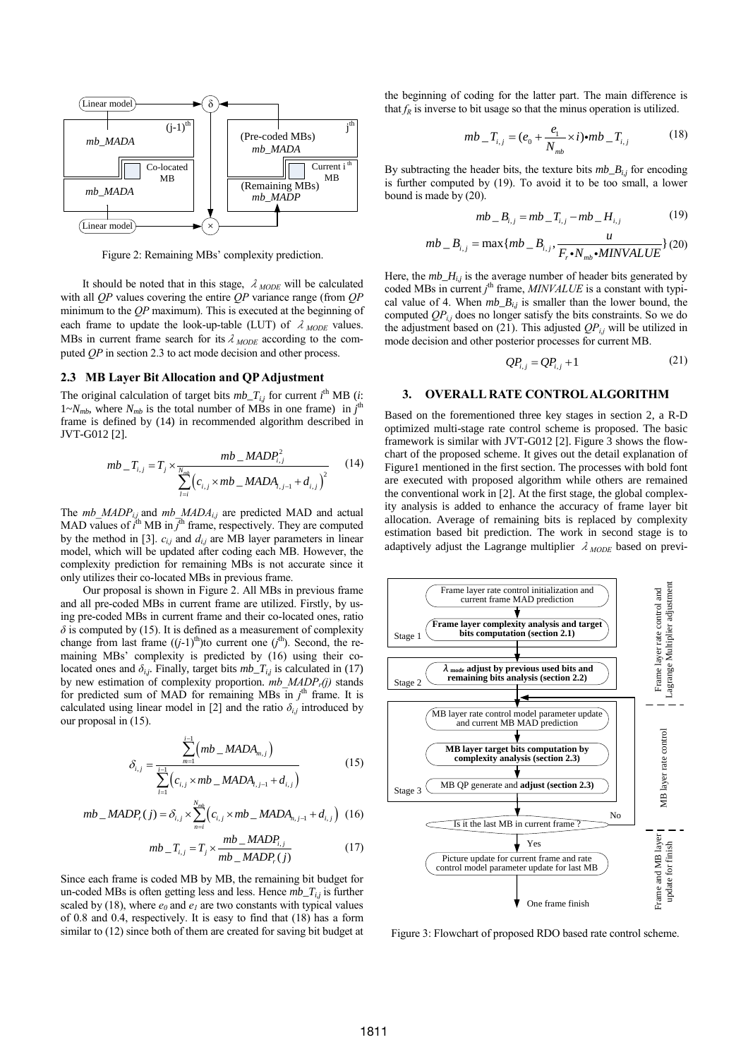

Figure 2: Remaining MBs' complexity prediction.

It should be noted that in this stage,  $\lambda_{MODE}$  will be calculated with all *QP* values covering the entire *QP* variance range (from *QP* minimum to the *QP* maximum). This is executed at the beginning of each frame to update the look-up-table (LUT) of  $\lambda_{MODE}$  values. MBs in current frame search for its  $\lambda_{MODE}$  according to the computed *QP* in section 2.3 to act mode decision and other process.

### **2.3 MB Layer Bit Allocation and QP Adjustment**

The original calculation of target bits  $mbT_{i,j}$  for current  $i^{\text{th}}$  MB (*i*:  $1-\frac{N_{mb}}{N}$ , where  $N_{mb}$  is the total number of MBs in one frame) in  $j^{\text{th}}$ frame is defined by (14) in recommended algorithm described in JVT-G012 [2].

2 [2].  
\n
$$
mb_{-}T_{i,j} = T_j \times \frac{mb_{-}MADP_{i,j}^2}{\sum_{l=i}^{N_{mb}} (c_{i,j} \times mb_{-}MADA_{l,j-1} + d_{i,j})^2}
$$
\n(14)

The *mb\_MADPi,j* and *mb\_MADAi,j* are predicted MAD and actual MAD values of  $\vec{t}^{\text{th}}$  MB in  $\vec{J}^{\text{th}}$  frame, respectively. They are computed by the method in [3].  $c_{i,j}$  and  $d_{i,j}$  are MB layer parameters in linear model, which will be updated after coding each MB. However, the complexity prediction for remaining MBs is not accurate since it only utilizes their co-located MBs in previous frame.

Our proposal is shown in Figure 2. All MBs in previous frame and all pre-coded MBs in current frame are utilized. Firstly, by using pre-coded MBs in current frame and their co-located ones, ratio  $\delta$  is computed by (15). It is defined as a measurement of complexity change from last frame  $((j-1)$ <sup>th</sup>)to current one  $(j<sup>th</sup>)$ . Second, the remaining MBs' complexity is predicted by (16) using their colocated ones and  $\delta_{i,j}$ . Finally, target bits  $mb_T_{i,j}$  is calculated in (17) by new estimation of complexity proportion. *mb\_MADP<sup>r</sup> (j)* stands for predicted sum of MAD for remaining MBs in  $j<sup>th</sup>$  frame. It is calculated using linear model in [2] and the ratio  $\delta_{i,j}$  introduced by our proposal in (15).

$$
\delta_{i,j} = \frac{\sum_{m=1}^{i-1} (mb \_{MADA_{m,j}})}{\sum_{i=1}^{i-1} (c_{i,j} \times mb \_{MADA_{i,j-1} + d_{i,j}})} \tag{15}
$$

$$
\sum_{i=1}^{N} (c_{i,j} \times m_{i,j} - m_{i,j} - n_{i,j})
$$
  

$$
mb\_MADP_r(j) = \delta_{i,j} \times \sum_{n=i}^{N_{mb}} (c_{i,j} \times mb\_MADA_{n,j-1} + d_{i,j})
$$
 (16)

$$
mb_{-}T_{i,j} = T_j \times \frac{mb_{-}MADP_{i,j}}{mb_{-}MADP_{r}(j)}
$$
(17)

Since each frame is coded MB by MB, the remaining bit budget for un-coded MBs is often getting less and less. Hence *mb\_Ti,j* is further scaled by (18), where  $e_0$  and  $e_1$  are two constants with typical values of 0.8 and 0.4, respectively. It is easy to find that (18) has a form similar to (12) since both of them are created for saving bit budget at the beginning of coding for the latter part. The main difference is that  $f_R$  is inverse to bit usage so that the minus operation is utilized.

$$
mb_{-}T_{i,j} = (e_0 + \frac{e_1}{N_{mb}} \times i)\bullet mb_{-}T_{i,j}
$$
 (18)

By subtracting the header bits, the texture bits  $mb\_{B_{ij}}$  for encoding is further computed by (19). To avoid it to be too small, a lower bound is made by (20).

$$
mb = B_{i,j} = mb = T_{i,j} - mb = H_{i,j}
$$
 (19)

$$
mb_{-}B_{i,j} = mb_{-}I_{i,j} - mb_{-}H_{i,j}
$$
(19)  

$$
mb_{-}B_{i,j} = \max\{mb_{-}B_{i,j}, \frac{u}{F_r \cdot N_{mb} \cdot MINVALUE}\}(20)
$$

Here, the  $mb_1H_{i,j}$  is the average number of header bits generated by coded MBs in current *j*<sup>th</sup> frame, *MINVALUE* is a constant with typical value of 4. When  $mb_B$ <sub>ij</sub> is smaller than the lower bound, the computed  $QP_{i,j}$  does no longer satisfy the bits constraints. So we do the adjustment based on (21). This adjusted  $QP_{i,j}$  will be utilized in mode decision and other posterior processes for current MB.

$$
QP_{i,j} = QP_{i,j} + 1 \tag{21}
$$

#### **3. OVERALL RATE CONTROL ALGORITHM**

Based on the forementioned three key stages in section 2, a R-D optimized multi-stage rate control scheme is proposed. The basic framework is similar with JVT-G012 [2]. Figure 3 shows the flowchart of the proposed scheme. It gives out the detail explanation of Figure1 mentioned in the first section. The processes with bold font are executed with proposed algorithm while others are remained the conventional work in [2]. At the first stage, the global complexity analysis is added to enhance the accuracy of frame layer bit allocation. Average of remaining bits is replaced by complexity estimation based bit prediction. The work in second stage is to adaptively adjust the Lagrange multiplier λ*MODE* based on previ-



Figure 3: Flowchart of proposed RDO based rate control scheme.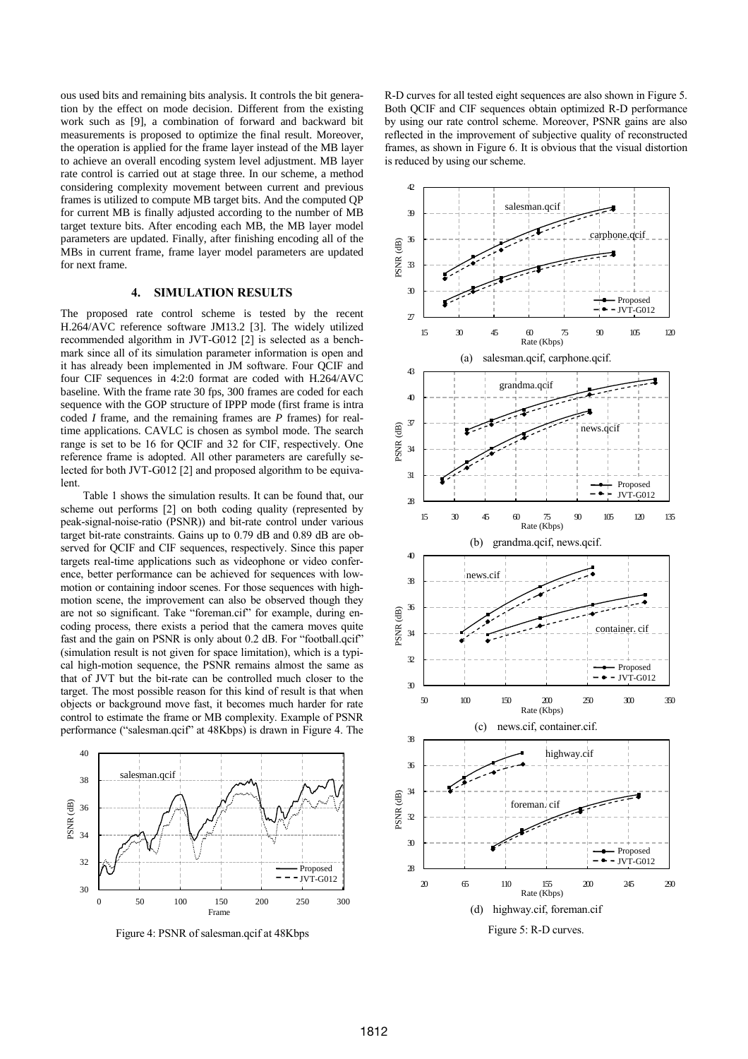ous used bits and remaining bits analysis. It controls the bit generation by the effect on mode decision. Different from the existing work such as [9], a combination of forward and backward bit measurements is proposed to optimize the final result. Moreover, the operation is applied for the frame layer instead of the MB layer to achieve an overall encoding system level adjustment. MB layer rate control is carried out at stage three. In our scheme, a method considering complexity movement between current and previous frames is utilized to compute MB target bits. And the computed QP for current MB is finally adjusted according to the number of MB target texture bits. After encoding each MB, the MB layer model parameters are updated. Finally, after finishing encoding all of the MBs in current frame, frame layer model parameters are updated for next frame.

#### **4. SIMULATION RESULTS**

The proposed rate control scheme is tested by the recent H.264/AVC reference software JM13.2 [3]. The widely utilized recommended algorithm in JVT-G012 [2] is selected as a benchmark since all of its simulation parameter information is open and it has already been implemented in JM software. Four QCIF and four CIF sequences in 4:2:0 format are coded with H.264/AVC baseline. With the frame rate 30 fps, 300 frames are coded for each sequence with the GOP structure of IPPP mode (first frame is intra coded *I* frame, and the remaining frames are *P* frames) for realtime applications. CAVLC is chosen as symbol mode. The search range is set to be 16 for QCIF and 32 for CIF, respectively. One reference frame is adopted. All other parameters are carefully selected for both JVT-G012 [2] and proposed algorithm to be equivalent.

Table 1 shows the simulation results. It can be found that, our scheme out performs [2] on both coding quality (represented by peak-signal-noise-ratio (PSNR)) and bit-rate control under various target bit-rate constraints. Gains up to 0.79 dB and 0.89 dB are observed for QCIF and CIF sequences, respectively. Since this paper targets real-time applications such as videophone or video conference, better performance can be achieved for sequences with lowmotion or containing indoor scenes. For those sequences with highmotion scene, the improvement can also be observed though they are not so significant. Take "foreman.cif" for example, during encoding process, there exists a period that the camera moves quite fast and the gain on PSNR is only about 0.2 dB. For "football.qcif" (simulation result is not given for space limitation), which is a typical high-motion sequence, the PSNR remains almost the same as that of JVT but the bit-rate can be controlled much closer to the target. The most possible reason for this kind of result is that when objects or background move fast, it becomes much harder for rate control to estimate the frame or MB complexity. Example of PSNR performance ("salesman.qcif" at 48Kbps) is drawn in Figure 4. The



Figure 4: PSNR of salesman.qcif at 48Kbps

R-D curves for all tested eight sequences are also shown in Figure 5. Both QCIF and CIF sequences obtain optimized R-D performance by using our rate control scheme. Moreover, PSNR gains are also reflected in the improvement of subjective quality of reconstructed frames, as shown in Figure 6. It is obvious that the visual distortion is reduced by using our scheme.